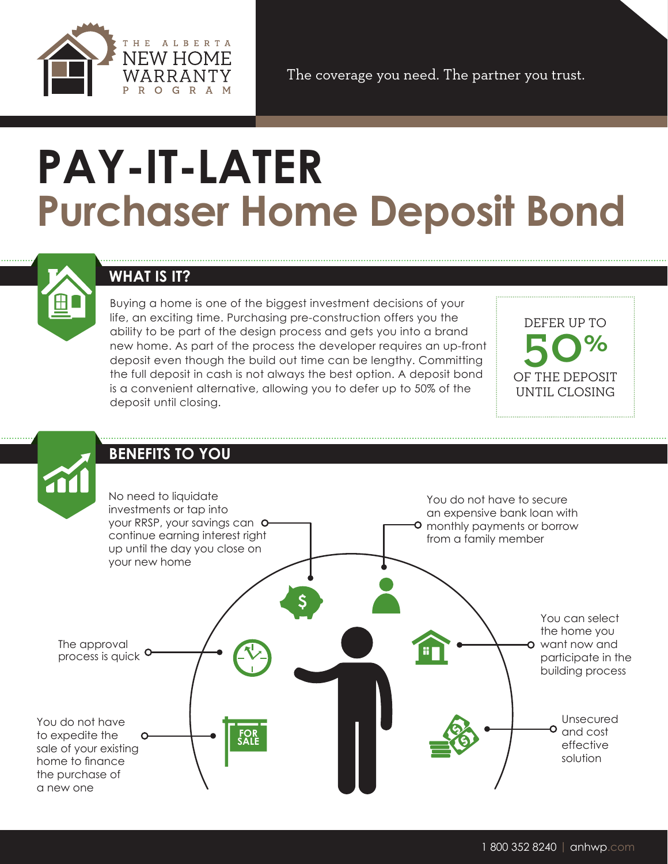

The coverage you need. The partner you trust.

# **PAY-IT-LATER Purchaser Home Deposit Bond**



## **WHAT IS IT?**

Buying a home is one of the biggest investment decisions of your life, an exciting time. Purchasing pre-construction offers you the ability to be part of the design process and gets you into a brand new home. As part of the process the developer requires an up-front deposit even though the build out time can be lengthy. Committing the full deposit in cash is not always the best option. A deposit bond is a convenient alternative, allowing you to defer up to 50% of the deposit until closing.